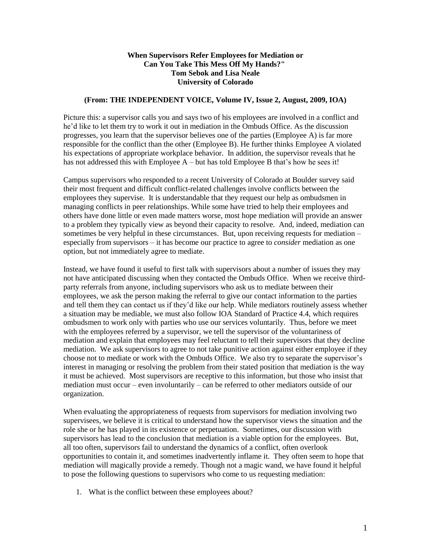## **When Supervisors Refer Employees for Mediation or Can You Take This Mess Off My Hands?" Tom Sebok and Lisa Neale University of Colorado**

## **(From: THE INDEPENDENT VOICE, Volume IV, Issue 2, August, 2009, IOA)**

Picture this: a supervisor calls you and says two of his employees are involved in a conflict and he'd like to let them try to work it out in mediation in the Ombuds Office. As the discussion progresses, you learn that the supervisor believes one of the parties (Employee A) is far more responsible for the conflict than the other (Employee B). He further thinks Employee A violated his expectations of appropriate workplace behavior. In addition, the supervisor reveals that he has not addressed this with Employee A – but has told Employee B that's how he sees it!

Campus supervisors who responded to a recent University of Colorado at Boulder survey said their most frequent and difficult conflict-related challenges involve conflicts between the employees they supervise. It is understandable that they request our help as ombudsmen in managing conflicts in peer relationships. While some have tried to help their employees and others have done little or even made matters worse, most hope mediation will provide an answer to a problem they typically view as beyond their capacity to resolve. And, indeed, mediation can sometimes be very helpful in these circumstances. But, upon receiving requests for mediation – especially from supervisors – it has become our practice to agree to *consider* mediation as one option, but not immediately agree to mediate.

Instead, we have found it useful to first talk with supervisors about a number of issues they may not have anticipated discussing when they contacted the Ombuds Office. When we receive thirdparty referrals from anyone, including supervisors who ask us to mediate between their employees, we ask the person making the referral to give our contact information to the parties and tell them they can contact us if they'd like our help. While mediators routinely assess whether a situation may be mediable, we must also follow IOA Standard of Practice 4.4, which requires ombudsmen to work only with parties who use our services voluntarily. Thus, before we meet with the employees referred by a supervisor, we tell the supervisor of the voluntariness of mediation and explain that employees may feel reluctant to tell their supervisors that they decline mediation. We ask supervisors to agree to not take punitive action against either employee if they choose not to mediate or work with the Ombuds Office. We also try to separate the supervisor's interest in managing or resolving the problem from their stated position that mediation is the way it must be achieved. Most supervisors are receptive to this information, but those who insist that mediation must occur – even involuntarily – can be referred to other mediators outside of our organization.

When evaluating the appropriateness of requests from supervisors for mediation involving two supervisees, we believe it is critical to understand how the supervisor views the situation and the role she or he has played in its existence or perpetuation. Sometimes, our discussion with supervisors has lead to the conclusion that mediation is a viable option for the employees. But, all too often, supervisors fail to understand the dynamics of a conflict, often overlook opportunities to contain it, and sometimes inadvertently inflame it. They often seem to hope that mediation will magically provide a remedy. Though not a magic wand, we have found it helpful to pose the following questions to supervisors who come to us requesting mediation:

1. What is the conflict between these employees about?